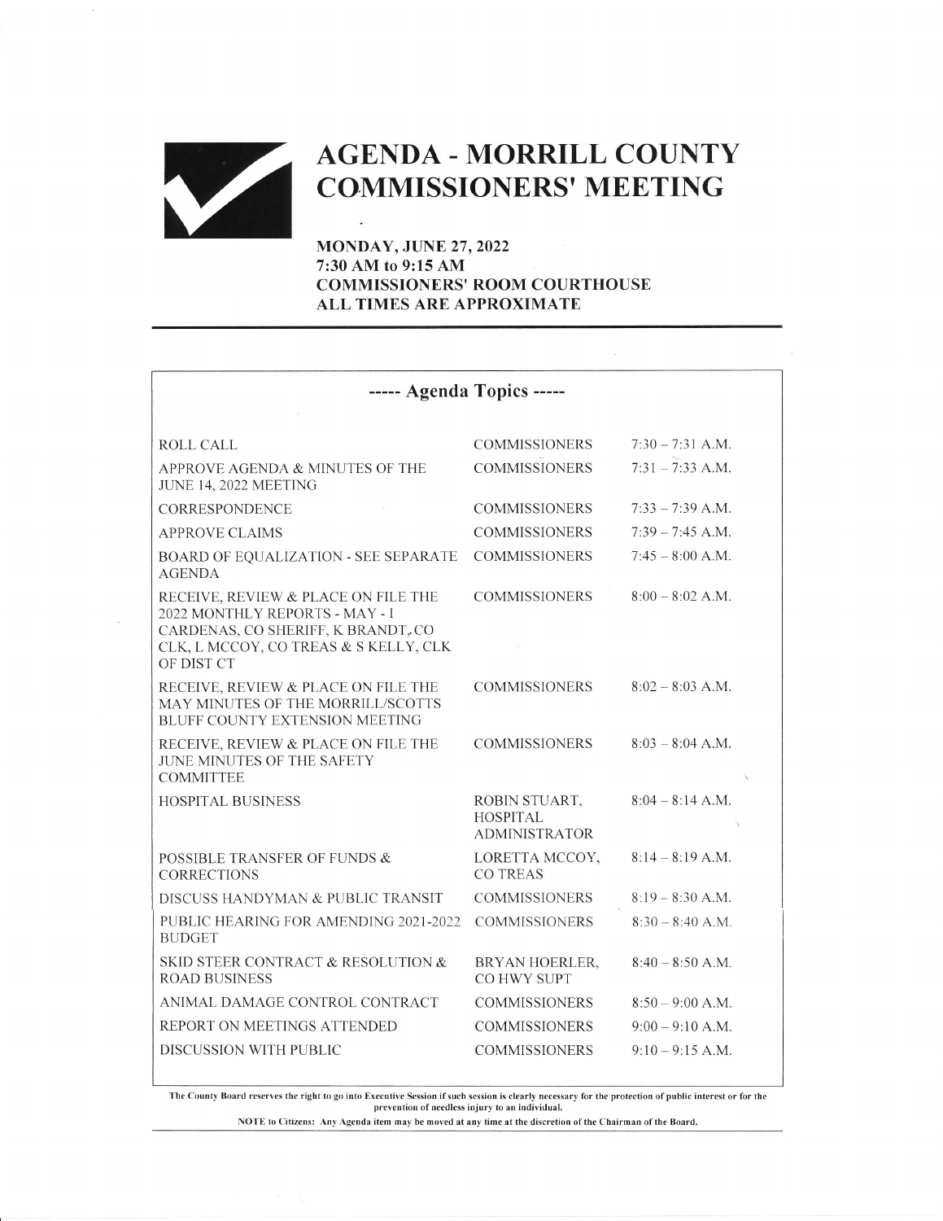

## **AGENDA - MORRILL COUNTY**

MONDAY, JUNE 27,2022 7:30 AM to 9:15 AM COMMISSIONERS' ROOM COURTHOUSE ALL TIMES ARE APPROXIMATE

| ----- Agenda Topics -----                                                                                                                                          |                                                          |                    |
|--------------------------------------------------------------------------------------------------------------------------------------------------------------------|----------------------------------------------------------|--------------------|
|                                                                                                                                                                    |                                                          |                    |
| <b>ROLL CALL</b>                                                                                                                                                   | <b>COMMISSIONERS</b>                                     | $7:30 - 7:31$ A.M. |
| APPROVE AGENDA & MINUTES OF THE<br>JUNE 14, 2022 MEETING                                                                                                           | <b>COMMISSIONERS</b>                                     | $7:31 - 7:33$ A.M. |
| CORRESPONDENCE                                                                                                                                                     | <b>COMMISSIONERS</b>                                     | $7:33 - 7:39$ A.M. |
| <b>APPROVE CLAIMS</b>                                                                                                                                              | <b>COMMISSIONERS</b>                                     | $7:39 - 7:45$ A.M. |
| <b>BOARD OF EQUALIZATION - SEE SEPARATE</b><br><b>AGENDA</b>                                                                                                       | <b>COMMISSIONERS</b>                                     | $7:45 - 8:00$ A.M. |
| RECEIVE, REVIEW & PLACE ON FILE THE<br>2022 MONTHLY REPORTS - MAY - I<br>CARDENAS, CO SHERIFF, K BRANDT, CO<br>CLK, L MCCOY, CO TREAS & S KELLY, CLK<br>OF DIST CT | <b>COMMISSIONERS</b>                                     | $8:00 - 8:02$ A.M. |
| RECEIVE, REVIEW & PLACE ON FILE THE<br>MAY MINUTES OF THE MORRILL/SCOTTS<br>BLUFF COUNTY EXTENSION MEETING                                                         | <b>COMMISSIONERS</b>                                     | $8:02 - 8:03$ A.M. |
| RECEIVE, REVIEW & PLACE ON FILE THE<br>JUNE MINUTES OF THE SAFETY<br><b>COMMITTEE</b>                                                                              | <b>COMMISSIONERS</b>                                     | $8:03 - 8:04$ A.M. |
| <b>HOSPITAL BUSINESS</b>                                                                                                                                           | ROBIN STUART,<br><b>HOSPITAL</b><br><b>ADMINISTRATOR</b> | $8:04 - 8:14$ A.M. |
| POSSIBLE TRANSFER OF FUNDS &<br><b>CORRECTIONS</b>                                                                                                                 | LORETTA MCCOY,<br>CO TREAS                               | $8:14 - 8:19$ A.M. |
| DISCUSS HANDYMAN & PUBLIC TRANSIT                                                                                                                                  | <b>COMMISSIONERS</b>                                     | $8:19 - 8:30$ A.M. |
| PUBLIC HEARING FOR AMENDING 2021-2022<br><b>BUDGET</b>                                                                                                             | <b>COMMISSIONERS</b>                                     | $8:30 - 8:40$ A.M. |
| SKID STEER CONTRACT & RESOLUTION &<br><b>ROAD BUSINESS</b>                                                                                                         | BRYAN HOERLER,<br>CO HWY SUPT                            | $8:40 - 8:50$ A.M. |
| ANIMAL DAMAGE CONTROL CONTRACT                                                                                                                                     | <b>COMMISSIONERS</b>                                     | $8:50 - 9:00$ A.M. |
| REPORT ON MEETINGS ATTENDED                                                                                                                                        | <b>COMMISSIONERS</b>                                     | $9:00 - 9:10$ A.M. |
| DISCUSSION WITH PUBLIC                                                                                                                                             | <b>COMMISSIONERS</b>                                     | $9:10 - 9:15$ A.M. |

The County Board reserves the right to go into Executive Session if such session is clearly necessary for the protection of public interest or for the prevention of needless injury to an individual.

NOTE to Citizens: Any Agenda item may be moved at any time at the discretion of the Chairman of the Board.